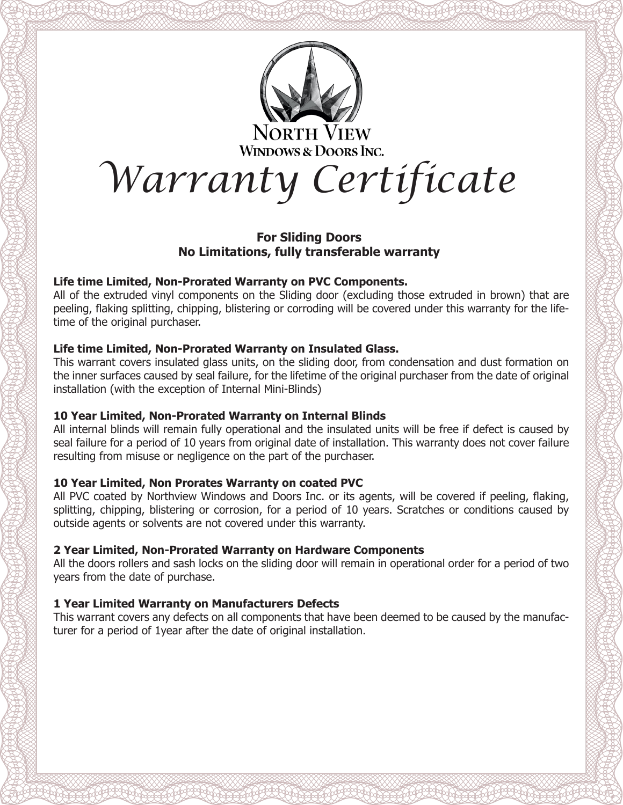*Warranty Certificate*

#### **For Sliding Doors No Limitations, fully transferable warranty**

#### **Life time Limited, Non-Prorated Warranty on PVC Components.**

All of the extruded vinyl components on the Sliding door (excluding those extruded in brown) that are peeling, flaking splitting, chipping, blistering or corroding will be covered under this warranty for the lifetime of the original purchaser.

### **Life time Limited, Non-Prorated Warranty on Insulated Glass.**

This warrant covers insulated glass units, on the sliding door, from condensation and dust formation on the inner surfaces caused by seal failure, for the lifetime of the original purchaser from the date of original installation (with the exception of Internal Mini-Blinds)

# **10 Year Limited, Non-Prorated Warranty on Internal Blinds**

All internal blinds will remain fully operational and the insulated units will be free if defect is caused by seal failure for a period of 10 years from original date of installation. This warranty does not cover failure resulting from misuse or negligence on the part of the purchaser.

# **10 Year Limited, Non Prorates Warranty on coated PVC**

All PVC coated by Northview Windows and Doors Inc. or its agents, will be covered if peeling, flaking, splitting, chipping, blistering or corrosion, for a period of 10 years. Scratches or conditions caused by outside agents or solvents are not covered under this warranty.

# **2 Year Limited, Non-Prorated Warranty on Hardware Components**

All the doors rollers and sash locks on the sliding door will remain in operational order for a period of two years from the date of purchase.

# **1 Year Limited Warranty on Manufacturers Defects**

This warrant covers any defects on all components that have been deemed to be caused by the manufacturer for a period of 1year after the date of original installation.